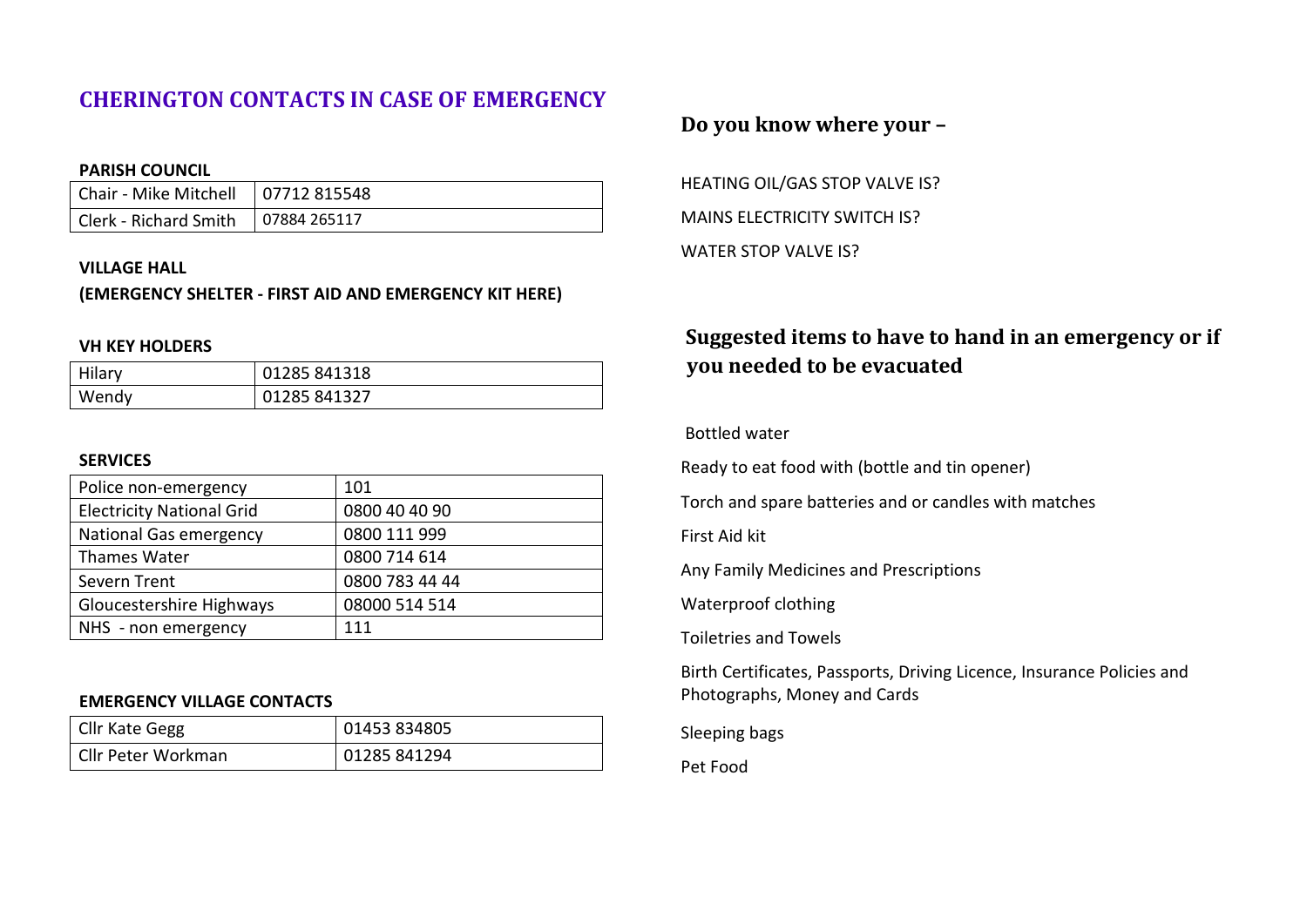# **CHERINGTON CONTACTS IN CASE OF EMERGENCY**

#### **PARISH COUNCIL**

| Chair - Mike Mitchell   07712 815548 |  |
|--------------------------------------|--|
| Clerk - Richard Smith   07884 265117 |  |

#### **VILLAGE HALL**

## **(EMERGENCY SHELTER - FIRST AID AND EMERGENCY KIT HERE)**

#### **VH KEY HOLDERS**

| Hilary | 01285 841318 |
|--------|--------------|
| Wendy  | 01285 841327 |

#### **SERVICES**

| Police non-emergency             | 101            |
|----------------------------------|----------------|
| <b>Electricity National Grid</b> | 0800 40 40 90  |
| <b>National Gas emergency</b>    | 0800 111 999   |
| Thames Water                     | 0800 714 614   |
| Severn Trent                     | 0800 783 44 44 |
| Gloucestershire Highways         | 08000 514 514  |
| NHS - non emergency              | 111            |

## **EMERGENCY VILLAGE CONTACTS**

| Cllr Kate Gegg     | 01453 834805 |
|--------------------|--------------|
| Cllr Peter Workman | 01285 841294 |

# **Do you know where your –**

HEATING OIL/GAS STOP VALVE IS? MAINS ELECTRICITY SWITCH IS? WATER STOP VALVE IS?

# **Suggested items to have to hand in an emergency or if you needed to be evacuated**

## Bottled water

Ready to eat food with (bottle and tin opener)

Torch and spare batteries and or candles with matches

First Aid kit

Any Family Medicines and Prescriptions

Waterproof clothing

Toiletries and Towels

Birth Certificates, Passports, Driving Licence, Insurance Policies and Photographs, Money and Cards

Sleeping bags

Pet Food